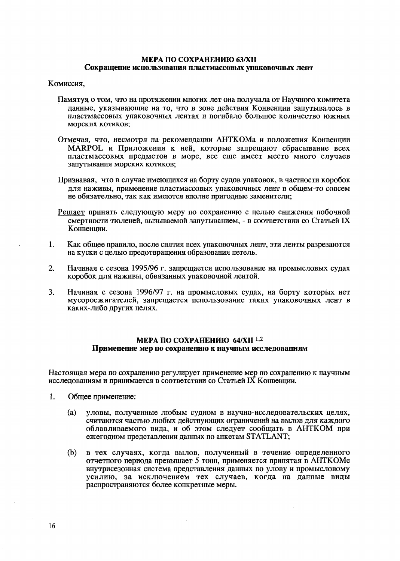## МЕРА ПО СОХРАНЕНИЮ  $64/XII$ <sup>1,2</sup> Применение мер по сохранению к научным исследованиям

Настоящая мера по сохранению регулирует применение мер по сохранению к научным исследованиям и принимается в соответствии со Статьей IX Конвенции.

- Обшее применение:  $\mathbf{1}$ 
	- уловы, полученные любым судном в научно-исследовательских целях,  $(a)$ считаются частью любых действующих ограничений на вылов для каждого облавливаемого вида, и об этом следует сообщать в АНТКОМ при ежегодном представлении данных по анкетам STATLANT:
	- $(b)$ в тех случаях, когда вылов, полученный в течение определенного отчетного периода превышает 5 тонн, применяется принятая в АНТКОМе внутрисезонная система представления данных по улову и промысловому усилию, за исключением тех случаев, когда на данные виды распространяются более конкретные меры.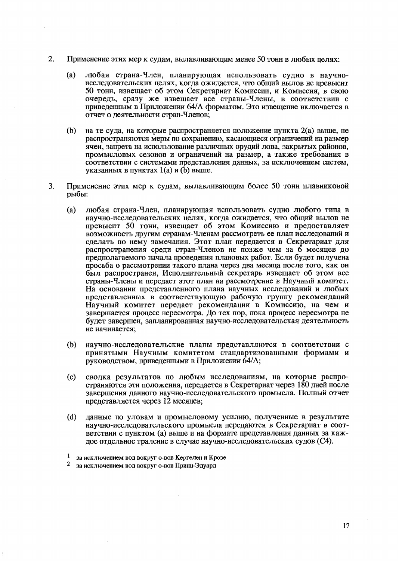- 2. Применение этих мер к судам, вылавливающим менее 50 тонн в любых целях;
	- любая страна-Член, планирующая использовать судно в научно- $(a)$ исследовательских целях, когда ожидается, что общий вылов не превысит 50 тонн, извещает об этом Секретариат Комиссии, и Комиссия, в свою очередь, сразу же извещает все страны-Члены, в соответствии с приведенным в Приложении 64/А форматом. Это извещение включается в отчет о деятельности стран-Членов;
	- $(b)$ на те суда, на которые распространяется положение пункта 2(а) выше, не распространяются меры по сохранению, касающиеся ограничений на размер ячеи, запрета на использование различных орудий лова, закрытых районов, промысловых сезонов и ограничений на размер, а также требования в соответствии с системами представления данных, за исключением систем, указанных в пунктах  $1(a)$  и (b) выше.
- Применение этих мер к судам, вылавливающим более 50 тонн плавниковой 3. рыбы:
	- любая страна-Член, планирующая использовать судно любого типа в  $(a)$ научно-исследовательских целях, когда ожидается, что общий вылов не превысит 50 тонн, извещает об этом Комиссию и предоставляет возможность другим странам-Членам рассмотреть ее план исследований и сделать по нему замечания. Этот план передается в Секретариат для распространения среди стран-Членов не позже чем за 6 месяцев до предполагаемого начала проведения плановых работ. Если будет получена просьба о рассмотрении такого плана через два месяца после того, как он был распространен, Исполнительный секретарь извещает об этом все страны-Члены и передает этот план на рассмотрение в Научный комитет. На основании представленного плана научных исследований и любых представленных в соответствующую рабочую группу рекомендаций Научный комитет передает рекомендации в Комиссию, на чем и завершается процесс пересмотра. До тех пор, пока процесс пересмотра не будет завершен, запланированная научно-исследовательская деятельность не начинается:
	- $(b)$ научно-исследовательские планы представляются в соответствии с принятыми Научным комитетом стандартизованными формами и руководством, приведенными в Приложении 64/А;
	- сводка результатов по любым исследованиям, на которые распро- $(c)$ страняются эти положения, передается в Секретариат через 180 дней после завершения данного научно-исследовательского промысла. Полный отчет представляется через 12 месяцев;
	- $(d)$ данные по уловам и промысловому усилию, полученные в результате научно-исследовательского промысла передаются в Секретариат в соответствии с пунктом (а) выше и на формате представления данных за кажпое отдельное траление в случае научно-исследовательских судов (C4).

 $\mathbf{1}$ за исключением вод вокруг о-вов Кергелен и Крозе

 $\overline{2}$ за исключением вод вокруг о-вов Принц-Эдуард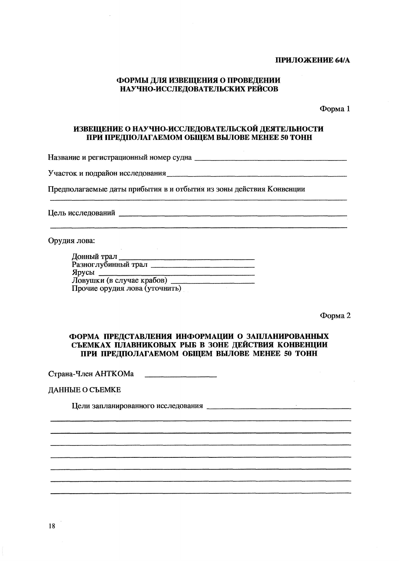## ПРИЛОЖЕНИЕ 64/А

# ФОРМЫ ДЛЯ ИЗВЕЩЕНИЯ О ПРОВЕДЕНИИ НАУЧНО-ИССЛЕДОВАТЕЛЬСКИХ РЕЙСОВ

Форма 1

# ИЗВЕЩЕНИЕ О НАУЧНО-ИССЛЕДОВАТЕЛЬСКОЙ ДЕЯТЕЛЬНОСТИ ПРИ ПРЕДПОЛАГАЕМОМ ОБЩЕМ ВЫЛОВЕ МЕНЕЕ 50 ТОНН

Участок и подрайон исследования по поставления при подразника по поставки подрайон исследования

Предполагаемые даты прибытия в и отбытия из зоны действия Конвенции

Цель исследований

Орудия лова:

| Донный трал                   |  |
|-------------------------------|--|
| Разноглубинный трал           |  |
| Ярусы                         |  |
| Ловушки (в случае крабов)     |  |
| Прочие орудия лова (уточнить) |  |

Форма 2

# ФОРМА ПРЕДСТАВЛЕНИЯ ИНФОРМАЦИИ О ЗАПЛАНИРОВАННЫХ СЪЕМКАХ ПЛАВНИКОВЫХ РЫБ В ЗОНЕ ДЕЙСТВИЯ КОНВЕНЦИИ ПРИ ПРЕДПОЛАГАЕМОМ ОБЩЕМ ВЫЛОВЕ МЕНЕЕ 50 ТОНН

#### ДАННЫЕ О СЪЕМКЕ

18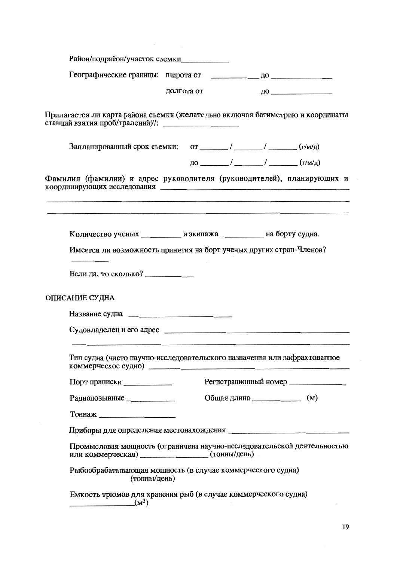| Район/подрайон/участок съемки                                                                                                |            |                                             |                                     |
|------------------------------------------------------------------------------------------------------------------------------|------------|---------------------------------------------|-------------------------------------|
|                                                                                                                              |            |                                             |                                     |
|                                                                                                                              | долгота от |                                             | $\overline{A}$ О <u>поставите с</u> |
| Прилагается ли карта района съемки (желательно включая батиметрию и координаты                                               |            |                                             |                                     |
| Запланированный срок съемки: от ______/ _____/ _______ / ______(г/м/д)                                                       |            |                                             |                                     |
|                                                                                                                              |            | $\mu$ 0 $\mu$ / $\mu$ / $\mu$ (r/m/ $\mu$ ) |                                     |
| Фамилия (фамилии) и адрес руководителя (руководителей), планирующих и                                                        |            |                                             |                                     |
| Количество ученых __________ и экипажа _________ на борту судна.                                                             |            |                                             |                                     |
| Имеется ли возможность принятия на борт ученых других стран-Членов?                                                          |            |                                             |                                     |
| Если да, то сколько? _____________                                                                                           |            |                                             |                                     |
| ОПИСАНИЕ СУДНА                                                                                                               |            |                                             |                                     |
|                                                                                                                              |            |                                             |                                     |
|                                                                                                                              |            |                                             |                                     |
| Тип судна (чисто научно-исследовательского назначения или зафрахтованное<br>коммерческое судно) $\qquad \qquad$              |            |                                             |                                     |
| Порт приписки                                                                                                                |            | Регистрационный номер                       |                                     |
| Радиопозывные ______________                                                                                                 |            | Общая длина ______________                  | (M)                                 |
|                                                                                                                              |            |                                             |                                     |
|                                                                                                                              |            |                                             |                                     |
| Промысловая мощность (ограничена научно-исследовательской деятельностью<br>или коммерческая) ___________________(тонны/день) |            |                                             |                                     |
| Рыбообрабатывающая мощность (в случае коммерческого судна)<br>(тонны/день)                                                   |            |                                             |                                     |
| Емкость трюмов для хранения рыб (в случае коммерческого судна)<br>$\frac{1}{2}$ (M <sup>3</sup> )                            |            |                                             |                                     |
|                                                                                                                              |            |                                             |                                     |

 $\label{eq:2.1} \frac{1}{\sqrt{2}}\int_{\mathbb{R}^3}\frac{1}{\sqrt{2}}\left(\frac{1}{\sqrt{2}}\right)^2\frac{1}{\sqrt{2}}\left(\frac{1}{\sqrt{2}}\right)^2\frac{1}{\sqrt{2}}\left(\frac{1}{\sqrt{2}}\right)^2.$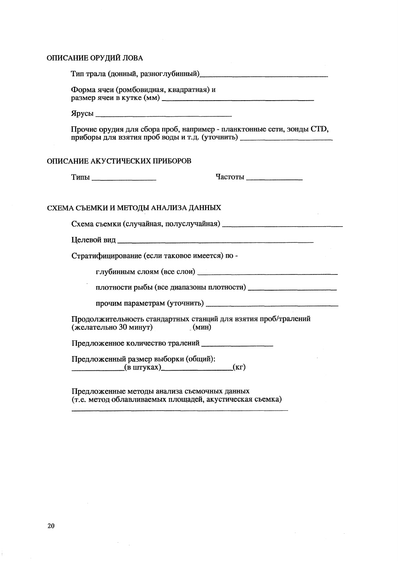#### ОПИСАНИЕ ОРУДИЙ ЛОВА

Тип трала (донный, разноглубинный) по последните при податки по податки по податки по податки по податки по п

Форма ячеи (ромбовидная, квадратная) и размер ячеи в кутке (мм)

Прочие орудия для сбора проб, например - планктонные сети, зонды СТD, приборы для взятия проб воды и т.д. (уточнить) \_\_\_\_\_\_\_\_\_\_\_\_\_\_\_\_\_\_\_\_\_\_\_\_\_\_\_\_\_\_\_\_\_\_

#### ОПИСАНИЕ АКУСТИЧЕСКИХ ПРИБОРОВ

Частоты

### СХЕМА СЪЕМКИ И МЕТОДЫ АНАЛИЗА ДАННЫХ

Стратифицирование (если таковое имеется) по -

Продолжительность стандартных станций для взятия проб/тралений (желательно 30 минут)  $(MHH)$ 

Предложенное количество тралений

Предложенный размер выборки (общий):  $(B \text{ HITYKAX})$  $(Kr)$ 

Предложенные методы анализа съемочных данных (т.е. метод облавливаемых площадей, акустическая съемка)

 $\sim$